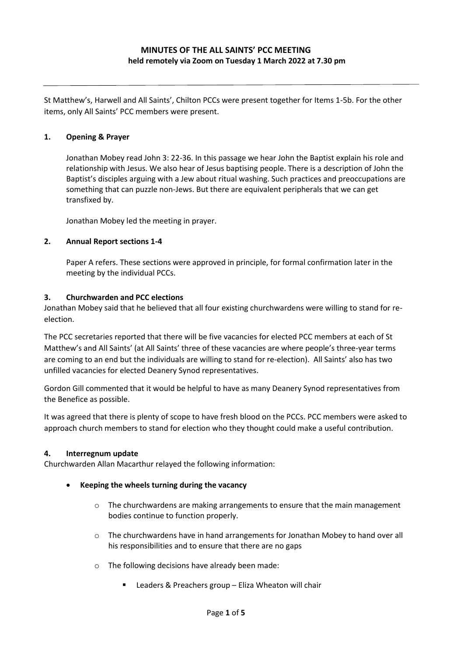St Matthew's, Harwell and All Saints', Chilton PCCs were present together for Items 1-5b. For the other items, only All Saints' PCC members were present.

# **1. Opening & Prayer**

Jonathan Mobey read John 3: 22-36. In this passage we hear John the Baptist explain his role and relationship with Jesus. We also hear of Jesus baptising people. There is a description of John the Baptist's disciples arguing with a Jew about ritual washing. Such practices and preoccupations are something that can puzzle non-Jews. But there are equivalent peripherals that we can get transfixed by.

Jonathan Mobey led the meeting in prayer.

# **2. Annual Report sections 1-4**

Paper A refers. These sections were approved in principle, for formal confirmation later in the meeting by the individual PCCs.

# **3. Churchwarden and PCC elections**

Jonathan Mobey said that he believed that all four existing churchwardens were willing to stand for reelection.

The PCC secretaries reported that there will be five vacancies for elected PCC members at each of St Matthew's and All Saints' (at All Saints' three of these vacancies are where people's three-year terms are coming to an end but the individuals are willing to stand for re-election). All Saints' also has two unfilled vacancies for elected Deanery Synod representatives.

Gordon Gill commented that it would be helpful to have as many Deanery Synod representatives from the Benefice as possible.

It was agreed that there is plenty of scope to have fresh blood on the PCCs. PCC members were asked to approach church members to stand for election who they thought could make a useful contribution.

#### **4. Interregnum update**

Churchwarden Allan Macarthur relayed the following information:

#### • **Keeping the wheels turning during the vacancy**

- $\circ$  The churchwardens are making arrangements to ensure that the main management bodies continue to function properly.
- $\circ$  The churchwardens have in hand arrangements for Jonathan Mobey to hand over all his responsibilities and to ensure that there are no gaps
- o The following decisions have already been made:
	- Leaders & Preachers group Eliza Wheaton will chair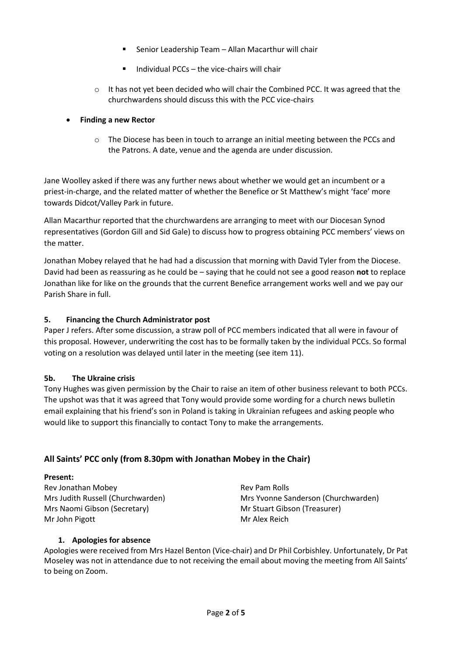- Senior Leadership Team Allan Macarthur will chair
- Individual PCCs  $-$  the vice-chairs will chair
- $\circ$  It has not yet been decided who will chair the Combined PCC. It was agreed that the churchwardens should discuss this with the PCC vice-chairs

# • **Finding a new Rector**

o The Diocese has been in touch to arrange an initial meeting between the PCCs and the Patrons. A date, venue and the agenda are under discussion.

Jane Woolley asked if there was any further news about whether we would get an incumbent or a priest-in-charge, and the related matter of whether the Benefice or St Matthew's might 'face' more towards Didcot/Valley Park in future.

Allan Macarthur reported that the churchwardens are arranging to meet with our Diocesan Synod representatives (Gordon Gill and Sid Gale) to discuss how to progress obtaining PCC members' views on the matter.

Jonathan Mobey relayed that he had had a discussion that morning with David Tyler from the Diocese. David had been as reassuring as he could be – saying that he could not see a good reason **not** to replace Jonathan like for like on the grounds that the current Benefice arrangement works well and we pay our Parish Share in full.

# **5. Financing the Church Administrator post**

Paper J refers. After some discussion, a straw poll of PCC members indicated that all were in favour of this proposal. However, underwriting the cost has to be formally taken by the individual PCCs. So formal voting on a resolution was delayed until later in the meeting (see item 11).

#### **5b. The Ukraine crisis**

Tony Hughes was given permission by the Chair to raise an item of other business relevant to both PCCs. The upshot was that it was agreed that Tony would provide some wording for a church news bulletin email explaining that his friend's son in Poland is taking in Ukrainian refugees and asking people who would like to support this financially to contact Tony to make the arrangements.

# **All Saints' PCC only (from 8.30pm with Jonathan Mobey in the Chair)**

#### **Present:**

Rev Jonathan Mobey **Review Access** Rev Pam Rolls Mrs Naomi Gibson (Secretary) Mr Stuart Gibson (Treasurer) Mr John Pigott **Mr Alex Reich** Mr Alex Reich

Mrs Judith Russell (Churchwarden) Mrs Yvonne Sanderson (Churchwarden)

# **1. Apologies for absence**

Apologies were received from Mrs Hazel Benton (Vice-chair) and Dr Phil Corbishley. Unfortunately, Dr Pat Moseley was not in attendance due to not receiving the email about moving the meeting from All Saints' to being on Zoom.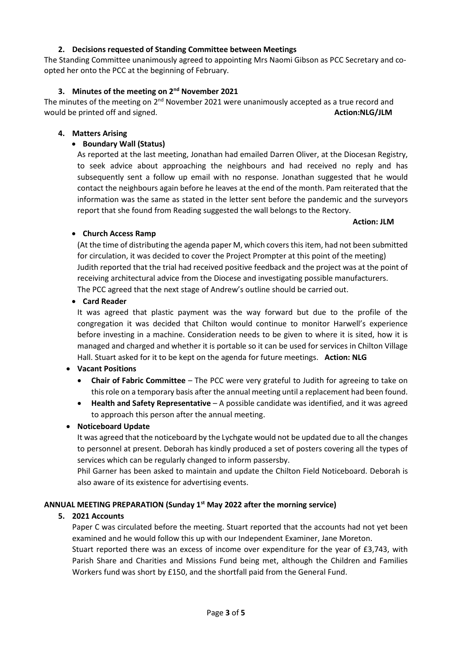Paper C was circulated before the meeting. Stuart reported that the accounts had not yet been examined and he would follow this up with our Independent Examiner, Jane Moreton. Stuart reported there was an excess of income over expenditure for the year of £3,743, with

Parish Share and Charities and Missions Fund being met, although the Children and Families Workers fund was short by £150, and the shortfall paid from the General Fund.

**ANNUAL MEETING PREPARATION (Sunday 1st May 2022 after the morning service)**

services which can be regularly changed to inform passersby.

also aware of its existence for advertising events.

# to personnel at present. Deborah has kindly produced a set of posters covering all the types of

**5. 2021 Accounts**

to approach this person after the annual meeting. • **Noticeboard Update** It was agreed that the noticeboard by the Lychgate would not be updated due to all the changes

Phil Garner has been asked to maintain and update the Chilton Field Noticeboard. Deborah is

this role on a temporary basis after the annual meeting until a replacement had been found. • **Health and Safety Representative** – A possible candidate was identified, and it was agreed

• **Card Reader**

- 
- **Vacant Positions** • **Chair of Fabric Committee** – The PCC were very grateful to Judith for agreeing to take on

managed and charged and whether it is portable so it can be used for services in Chilton Village

It was agreed that plastic payment was the way forward but due to the profile of the congregation it was decided that Chilton would continue to monitor Harwell's experience before investing in a machine. Consideration needs to be given to where it is sited, how it is

Hall. Stuart asked for it to be kept on the agenda for future meetings. **Action: NLG**

The PCC agreed that the next stage of Andrew's outline should be carried out.

report that she found from Reading suggested the wall belongs to the Rectory. **Action: JLM** • **Church Access Ramp** (At the time of distributing the agenda paper M, which covers this item, had not been submitted for circulation, it was decided to cover the Project Prompter at this point of the meeting)

Judith reported that the trial had received positive feedback and the project was at the point of receiving architectural advice from the Diocese and investigating possible manufacturers.

subsequently sent a follow up email with no response. Jonathan suggested that he would contact the neighbours again before he leaves at the end of the month. Pam reiterated that the information was the same as stated in the letter sent before the pandemic and the surveyors

**4. Matters Arising** • **Boundary Wall (Status)** As reported at the last meeting, Jonathan had emailed Darren Oliver, at the Diocesan Registry, to seek advice about approaching the neighbours and had received no reply and has

The minutes of the meeting on 2<sup>nd</sup> November 2021 were unanimously accepted as a true record and would be printed off and signed. **Action:NLG/JLM Action:NLG/JLM** 

The Standing Committee unanimously agreed to appointing Mrs Naomi Gibson as PCC Secretary and coopted her onto the PCC at the beginning of February.

#### **2. Decisions requested of Standing Committee between Meetings**

**3. Minutes of the meeting on 2nd November 2021**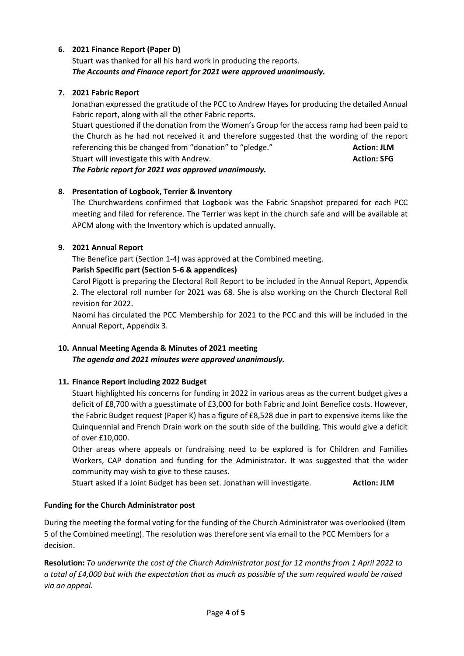# **6. 2021 Finance Report (Paper D)**

Stuart was thanked for all his hard work in producing the reports. *The Accounts and Finance report for 2021 were approved unanimously.*

# **7. 2021 Fabric Report**

Jonathan expressed the gratitude of the PCC to Andrew Hayes for producing the detailed Annual Fabric report, along with all the other Fabric reports.

Stuart questioned if the donation from the Women's Group for the access ramp had been paid to the Church as he had not received it and therefore suggested that the wording of the report referencing this be changed from "donation" to "pledge." **Action: JLM** Stuart will investigate this with Andrew. **Action: SFG** and the stuart will investigate this with Andrew.

*The Fabric report for 2021 was approved unanimously.*

# **8. Presentation of Logbook, Terrier & Inventory**

The Churchwardens confirmed that Logbook was the Fabric Snapshot prepared for each PCC meeting and filed for reference. The Terrier was kept in the church safe and will be available at APCM along with the Inventory which is updated annually.

# **9. 2021 Annual Report**

The Benefice part (Section 1-4) was approved at the Combined meeting.

# **Parish Specific part (Section 5-6 & appendices)**

Carol Pigott is preparing the Electoral Roll Report to be included in the Annual Report, Appendix 2. The electoral roll number for 2021 was 68. She is also working on the Church Electoral Roll revision for 2022.

Naomi has circulated the PCC Membership for 2021 to the PCC and this will be included in the Annual Report, Appendix 3.

# **10. Annual Meeting Agenda & Minutes of 2021 meeting**

*The agenda and 2021 minutes were approved unanimously.*

# **11. Finance Report including 2022 Budget**

Stuart highlighted his concerns for funding in 2022 in various areas as the current budget gives a deficit of £8,700 with a guesstimate of £3,000 for both Fabric and Joint Benefice costs. However, the Fabric Budget request (Paper K) has a figure of £8,528 due in part to expensive items like the Quinquennial and French Drain work on the south side of the building. This would give a deficit of over £10,000.

Other areas where appeals or fundraising need to be explored is for Children and Families Workers, CAP donation and funding for the Administrator. It was suggested that the wider community may wish to give to these causes.

Stuart asked if a Joint Budget has been set. Jonathan will investigate. **Action: JLM**

# **Funding for the Church Administrator post**

During the meeting the formal voting for the funding of the Church Administrator was overlooked (Item 5 of the Combined meeting). The resolution was therefore sent via email to the PCC Members for a decision.

**Resolution:** *To underwrite the cost of the Church Administrator post for 12 months from 1 April 2022 to a total of £4,000 but with the expectation that as much as possible of the sum required would be raised via an appeal.*